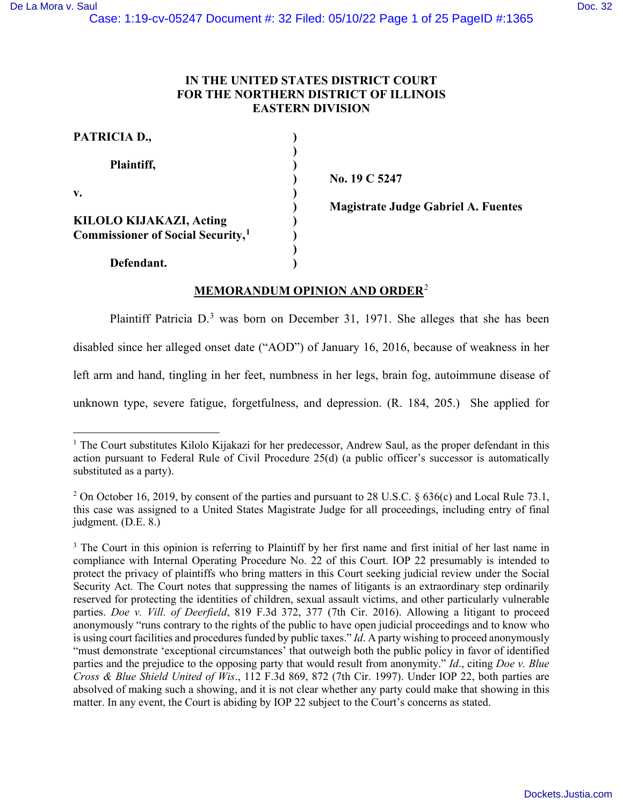# **IN THE UNITED STATES DISTRICT COURT FOR THE NORTHERN DISTRICT OF ILLINOIS EASTERN DIVISION**

| PATRICIA D.,                                                             |  |
|--------------------------------------------------------------------------|--|
| Plaintiff,                                                               |  |
| v.                                                                       |  |
| KILOLO KIJAKAZI, Acting<br>Commissioner of Social Security, <sup>1</sup> |  |
| Defendant.                                                               |  |

 **) No. 19 C 5247** 

 **) Magistrate Judge Gabriel A. Fuentes**

# **MEMORANDUM OPINION AND ORDER**[2](#page-0-1)

Plaintiff Patricia D.<sup>[3](#page-0-2)</sup> was born on December 31, 1971. She alleges that she has been disabled since her alleged onset date ("AOD") of January 16, 2016, because of weakness in her left arm and hand, tingling in her feet, numbness in her legs, brain fog, autoimmune disease of unknown type, severe fatigue, forgetfulness, and depression. (R. 184, 205.) She applied for

<span id="page-0-0"></span><sup>&</sup>lt;sup>1</sup> The Court substitutes Kilolo Kijakazi for her predecessor, Andrew Saul, as the proper defendant in this action pursuant to Federal Rule of Civil Procedure 25(d) (a public officer's successor is automatically substituted as a party).

<span id="page-0-1"></span><sup>&</sup>lt;sup>2</sup> On October 16, 2019, by consent of the parties and pursuant to 28 U.S.C. § 636(c) and Local Rule 73.1, this case was assigned to a United States Magistrate Judge for all proceedings, including entry of final judgment. (D.E. 8.)

<span id="page-0-2"></span><sup>&</sup>lt;sup>3</sup> The Court in this opinion is referring to Plaintiff by her first name and first initial of her last name in compliance with Internal Operating Procedure No. 22 of this Court. IOP 22 presumably is intended to protect the privacy of plaintiffs who bring matters in this Court seeking judicial review under the Social Security Act. The Court notes that suppressing the names of litigants is an extraordinary step ordinarily reserved for protecting the identities of children, sexual assault victims, and other particularly vulnerable parties. *Doe v. Vill. of Deerfield*, 819 F.3d 372, 377 (7th Cir. 2016). Allowing a litigant to proceed anonymously "runs contrary to the rights of the public to have open judicial proceedings and to know who is using court facilities and procedures funded by public taxes." *Id*. A party wishing to proceed anonymously "must demonstrate 'exceptional circumstances' that outweigh both the public policy in favor of identified parties and the prejudice to the opposing party that would result from anonymity." *Id*., citing *Doe v. Blue Cross & Blue Shield United of Wis*., 112 F.3d 869, 872 (7th Cir. 1997). Under IOP 22, both parties are absolved of making such a showing, and it is not clear whether any party could make that showing in this matter. In any event, the Court is abiding by IOP 22 subject to the Court's concerns as stated.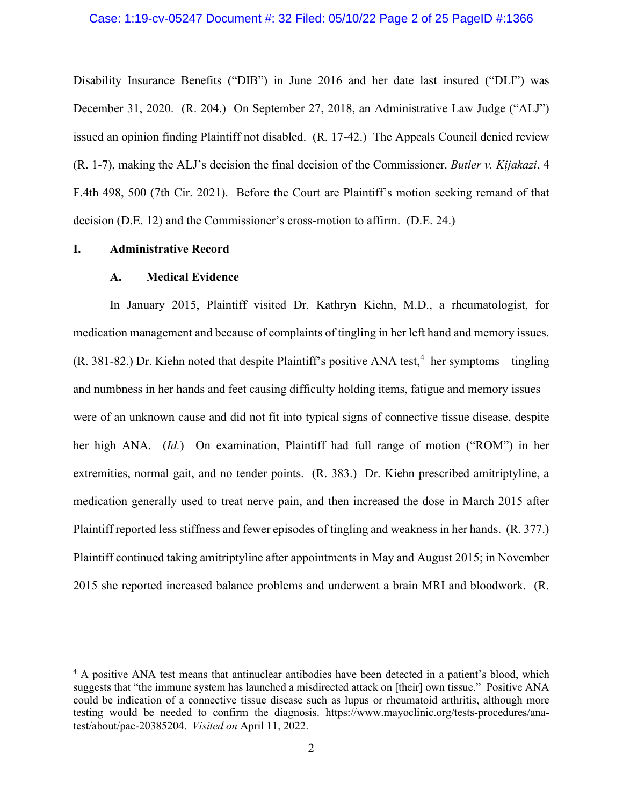Disability Insurance Benefits ("DIB") in June 2016 and her date last insured ("DLI") was December 31, 2020. (R. 204.) On September 27, 2018, an Administrative Law Judge ("ALJ") issued an opinion finding Plaintiff not disabled. (R. 17-42.) The Appeals Council denied review (R. 1-7), making the ALJ's decision the final decision of the Commissioner. *Butler v. Kijakazi*, 4 F.4th 498, 500 (7th Cir. 2021). Before the Court are Plaintiff's motion seeking remand of that decision (D.E. 12) and the Commissioner's cross-motion to affirm. (D.E. 24.)

## **I. Administrative Record**

#### **A. Medical Evidence**

In January 2015, Plaintiff visited Dr. Kathryn Kiehn, M.D., a rheumatologist, for medication management and because of complaints of tingling in her left hand and memory issues.  $(R. 381-82.)$  Dr. Kiehn noted that despite Plaintiff's positive ANA test,<sup>[4](#page-1-0)</sup> her symptoms – tingling and numbness in her hands and feet causing difficulty holding items, fatigue and memory issues – were of an unknown cause and did not fit into typical signs of connective tissue disease, despite her high ANA. (*Id.*) On examination, Plaintiff had full range of motion ("ROM") in her extremities, normal gait, and no tender points. (R. 383.) Dr. Kiehn prescribed amitriptyline, a medication generally used to treat nerve pain, and then increased the dose in March 2015 after Plaintiff reported less stiffness and fewer episodes of tingling and weakness in her hands. (R. 377.) Plaintiff continued taking amitriptyline after appointments in May and August 2015; in November 2015 she reported increased balance problems and underwent a brain MRI and bloodwork. (R.

<span id="page-1-0"></span><sup>&</sup>lt;sup>4</sup> A positive ANA test means that antinuclear antibodies have been detected in a patient's blood, which suggests that "the immune system has launched a misdirected attack on [their] own tissue." Positive ANA could be indication of a connective tissue disease such as lupus or rheumatoid arthritis, although more testing would be needed to confirm the diagnosis. https://www.mayoclinic.org/tests-procedures/anatest/about/pac-20385204. *Visited on* April 11, 2022.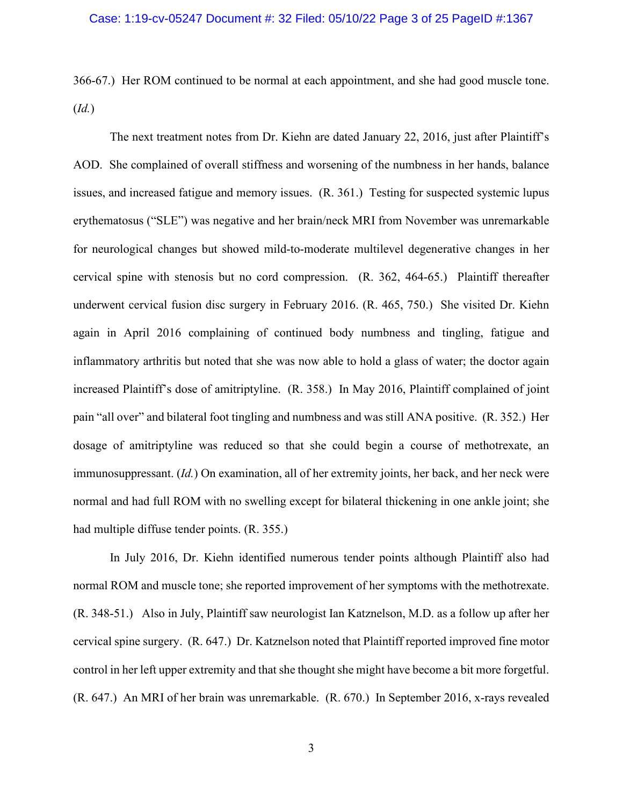366-67.) Her ROM continued to be normal at each appointment, and she had good muscle tone. (*Id.*)

The next treatment notes from Dr. Kiehn are dated January 22, 2016, just after Plaintiff's AOD. She complained of overall stiffness and worsening of the numbness in her hands, balance issues, and increased fatigue and memory issues. (R. 361.) Testing for suspected systemic lupus erythematosus ("SLE") was negative and her brain/neck MRI from November was unremarkable for neurological changes but showed mild-to-moderate multilevel degenerative changes in her cervical spine with stenosis but no cord compression. (R. 362, 464-65.) Plaintiff thereafter underwent cervical fusion disc surgery in February 2016. (R. 465, 750.) She visited Dr. Kiehn again in April 2016 complaining of continued body numbness and tingling, fatigue and inflammatory arthritis but noted that she was now able to hold a glass of water; the doctor again increased Plaintiff's dose of amitriptyline. (R. 358.) In May 2016, Plaintiff complained of joint pain "all over" and bilateral foot tingling and numbness and was still ANA positive. (R. 352.) Her dosage of amitriptyline was reduced so that she could begin a course of methotrexate, an immunosuppressant. (*Id.*) On examination, all of her extremity joints, her back, and her neck were normal and had full ROM with no swelling except for bilateral thickening in one ankle joint; she had multiple diffuse tender points. (R. 355.)

In July 2016, Dr. Kiehn identified numerous tender points although Plaintiff also had normal ROM and muscle tone; she reported improvement of her symptoms with the methotrexate. (R. 348-51.) Also in July, Plaintiff saw neurologist Ian Katznelson, M.D. as a follow up after her cervical spine surgery. (R. 647.) Dr. Katznelson noted that Plaintiff reported improved fine motor control in her left upper extremity and that she thought she might have become a bit more forgetful. (R. 647.) An MRI of her brain was unremarkable. (R. 670.) In September 2016, x-rays revealed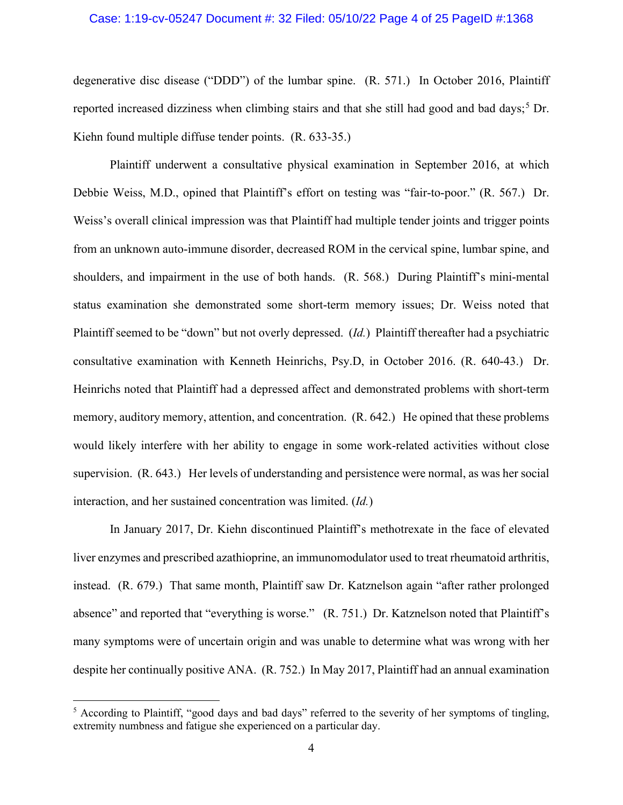#### Case: 1:19-cv-05247 Document #: 32 Filed: 05/10/22 Page 4 of 25 PageID #:1368

degenerative disc disease ("DDD") of the lumbar spine. (R. 571.) In October 2016, Plaintiff reported increased dizziness when climbing stairs and that she still had good and bad days;<sup>[5](#page-3-0)</sup> Dr. Kiehn found multiple diffuse tender points. (R. 633-35.)

Plaintiff underwent a consultative physical examination in September 2016, at which Debbie Weiss, M.D., opined that Plaintiff's effort on testing was "fair-to-poor." (R. 567.) Dr. Weiss's overall clinical impression was that Plaintiff had multiple tender joints and trigger points from an unknown auto-immune disorder, decreased ROM in the cervical spine, lumbar spine, and shoulders, and impairment in the use of both hands. (R. 568.) During Plaintiff's mini-mental status examination she demonstrated some short-term memory issues; Dr. Weiss noted that Plaintiff seemed to be "down" but not overly depressed. (*Id.*) Plaintiff thereafter had a psychiatric consultative examination with Kenneth Heinrichs, Psy.D, in October 2016. (R. 640-43.) Dr. Heinrichs noted that Plaintiff had a depressed affect and demonstrated problems with short-term memory, auditory memory, attention, and concentration. (R. 642.) He opined that these problems would likely interfere with her ability to engage in some work-related activities without close supervision. (R. 643.) Her levels of understanding and persistence were normal, as was her social interaction, and her sustained concentration was limited. (*Id.*)

In January 2017, Dr. Kiehn discontinued Plaintiff's methotrexate in the face of elevated liver enzymes and prescribed azathioprine, an immunomodulator used to treat rheumatoid arthritis, instead. (R. 679.) That same month, Plaintiff saw Dr. Katznelson again "after rather prolonged absence" and reported that "everything is worse." (R. 751.) Dr. Katznelson noted that Plaintiff's many symptoms were of uncertain origin and was unable to determine what was wrong with her despite her continually positive ANA. (R. 752.) In May 2017, Plaintiff had an annual examination

<span id="page-3-0"></span><sup>&</sup>lt;sup>5</sup> According to Plaintiff, "good days and bad days" referred to the severity of her symptoms of tingling, extremity numbness and fatigue she experienced on a particular day.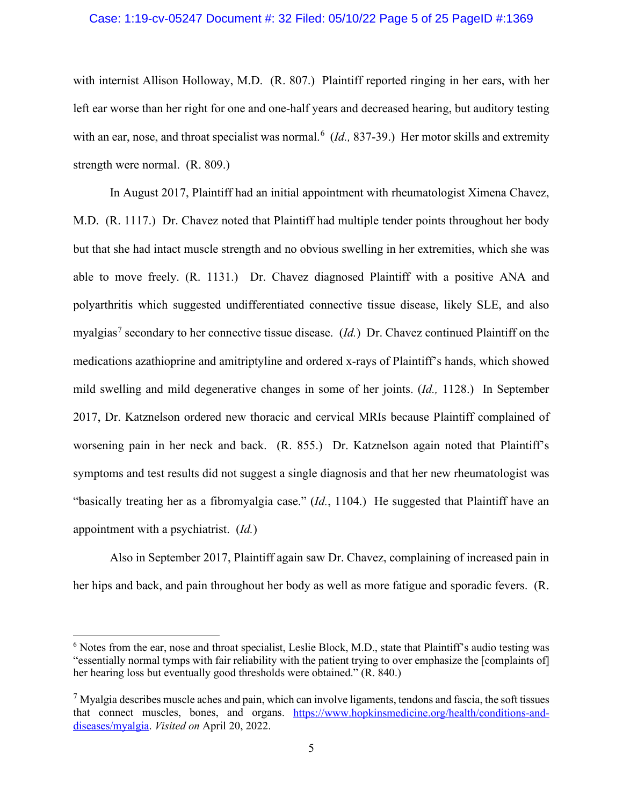#### Case: 1:19-cv-05247 Document #: 32 Filed: 05/10/22 Page 5 of 25 PageID #:1369

with internist Allison Holloway, M.D. (R. 807.) Plaintiff reported ringing in her ears, with her left ear worse than her right for one and one-half years and decreased hearing, but auditory testing with an ear, nose, and throat specialist was normal.<sup>[6](#page-4-0)</sup> (*Id.*, 837-39.) Her motor skills and extremity strength were normal. (R. 809.)

In August 2017, Plaintiff had an initial appointment with rheumatologist Ximena Chavez, M.D. (R. 1117.) Dr. Chavez noted that Plaintiff had multiple tender points throughout her body but that she had intact muscle strength and no obvious swelling in her extremities, which she was able to move freely. (R. 1131.) Dr. Chavez diagnosed Plaintiff with a positive ANA and polyarthritis which suggested undifferentiated connective tissue disease, likely SLE, and also myalgias<sup>[7](#page-4-1)</sup> secondary to her connective tissue disease. (*Id.*) Dr. Chavez continued Plaintiff on the medications azathioprine and amitriptyline and ordered x-rays of Plaintiff's hands, which showed mild swelling and mild degenerative changes in some of her joints. (*Id.,* 1128.) In September 2017, Dr. Katznelson ordered new thoracic and cervical MRIs because Plaintiff complained of worsening pain in her neck and back. (R. 855.) Dr. Katznelson again noted that Plaintiff's symptoms and test results did not suggest a single diagnosis and that her new rheumatologist was "basically treating her as a fibromyalgia case." (*Id.*, 1104.) He suggested that Plaintiff have an appointment with a psychiatrist. (*Id.*)

Also in September 2017, Plaintiff again saw Dr. Chavez, complaining of increased pain in her hips and back, and pain throughout her body as well as more fatigue and sporadic fevers. (R.

<span id="page-4-0"></span><sup>&</sup>lt;sup>6</sup> Notes from the ear, nose and throat specialist, Leslie Block, M.D., state that Plaintiff's audio testing was "essentially normal tymps with fair reliability with the patient trying to over emphasize the [complaints of] her hearing loss but eventually good thresholds were obtained." (R. 840.)

<span id="page-4-1"></span> $<sup>7</sup>$  Myalgia describes muscle aches and pain, which can involve ligaments, tendons and fascia, the soft tissues</sup> that connect muscles, bones, and organs. [https://www.hopkinsmedicine.org/health/conditions-and](https://www.hopkinsmedicine.org/health/conditions-and-diseases/myalgia)[diseases/myalgia.](https://www.hopkinsmedicine.org/health/conditions-and-diseases/myalgia) *Visited on* April 20, 2022.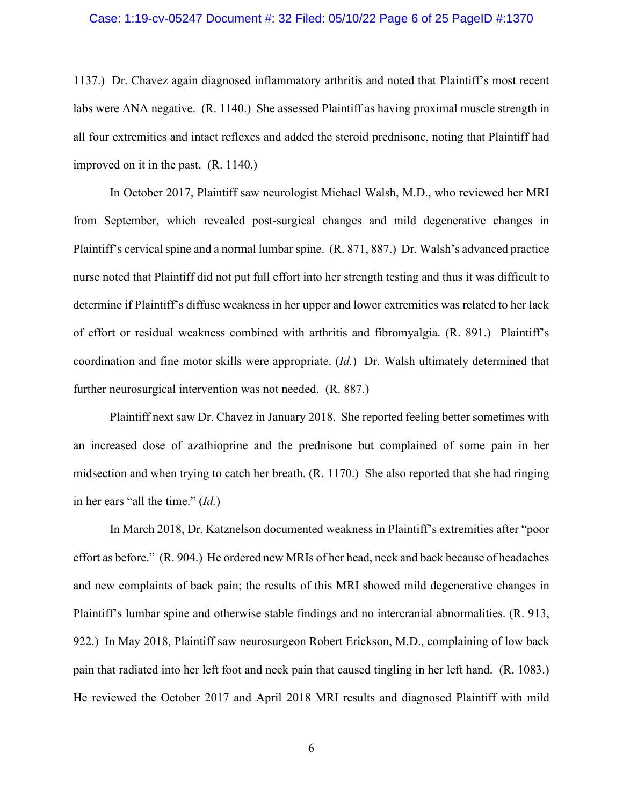#### Case: 1:19-cv-05247 Document #: 32 Filed: 05/10/22 Page 6 of 25 PageID #:1370

1137.) Dr. Chavez again diagnosed inflammatory arthritis and noted that Plaintiff's most recent labs were ANA negative. (R. 1140.) She assessed Plaintiff as having proximal muscle strength in all four extremities and intact reflexes and added the steroid prednisone, noting that Plaintiff had improved on it in the past. (R. 1140.)

In October 2017, Plaintiff saw neurologist Michael Walsh, M.D., who reviewed her MRI from September, which revealed post-surgical changes and mild degenerative changes in Plaintiff's cervical spine and a normal lumbar spine. (R. 871, 887.) Dr. Walsh's advanced practice nurse noted that Plaintiff did not put full effort into her strength testing and thus it was difficult to determine if Plaintiff's diffuse weakness in her upper and lower extremities was related to her lack of effort or residual weakness combined with arthritis and fibromyalgia. (R. 891.) Plaintiff's coordination and fine motor skills were appropriate. (*Id.*) Dr. Walsh ultimately determined that further neurosurgical intervention was not needed. (R. 887.)

Plaintiff next saw Dr. Chavez in January 2018. She reported feeling better sometimes with an increased dose of azathioprine and the prednisone but complained of some pain in her midsection and when trying to catch her breath. (R. 1170.) She also reported that she had ringing in her ears "all the time." (*Id.*)

In March 2018, Dr. Katznelson documented weakness in Plaintiff's extremities after "poor effort as before." (R. 904.) He ordered new MRIs of her head, neck and back because of headaches and new complaints of back pain; the results of this MRI showed mild degenerative changes in Plaintiff's lumbar spine and otherwise stable findings and no intercranial abnormalities. (R. 913, 922.) In May 2018, Plaintiff saw neurosurgeon Robert Erickson, M.D., complaining of low back pain that radiated into her left foot and neck pain that caused tingling in her left hand. (R. 1083.) He reviewed the October 2017 and April 2018 MRI results and diagnosed Plaintiff with mild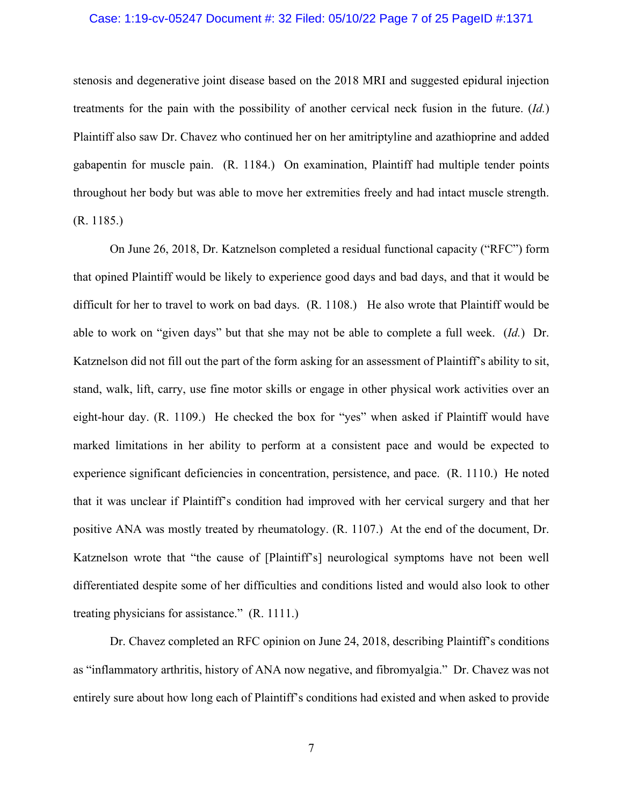#### Case: 1:19-cv-05247 Document #: 32 Filed: 05/10/22 Page 7 of 25 PageID #:1371

stenosis and degenerative joint disease based on the 2018 MRI and suggested epidural injection treatments for the pain with the possibility of another cervical neck fusion in the future. (*Id.*) Plaintiff also saw Dr. Chavez who continued her on her amitriptyline and azathioprine and added gabapentin for muscle pain. (R. 1184.) On examination, Plaintiff had multiple tender points throughout her body but was able to move her extremities freely and had intact muscle strength. (R. 1185.)

On June 26, 2018, Dr. Katznelson completed a residual functional capacity ("RFC") form that opined Plaintiff would be likely to experience good days and bad days, and that it would be difficult for her to travel to work on bad days. (R. 1108.) He also wrote that Plaintiff would be able to work on "given days" but that she may not be able to complete a full week. (*Id.*) Dr. Katznelson did not fill out the part of the form asking for an assessment of Plaintiff's ability to sit, stand, walk, lift, carry, use fine motor skills or engage in other physical work activities over an eight-hour day. (R. 1109.) He checked the box for "yes" when asked if Plaintiff would have marked limitations in her ability to perform at a consistent pace and would be expected to experience significant deficiencies in concentration, persistence, and pace. (R. 1110.) He noted that it was unclear if Plaintiff's condition had improved with her cervical surgery and that her positive ANA was mostly treated by rheumatology. (R. 1107.) At the end of the document, Dr. Katznelson wrote that "the cause of [Plaintiff's] neurological symptoms have not been well differentiated despite some of her difficulties and conditions listed and would also look to other treating physicians for assistance." (R. 1111.)

Dr. Chavez completed an RFC opinion on June 24, 2018, describing Plaintiff's conditions as "inflammatory arthritis, history of ANA now negative, and fibromyalgia." Dr. Chavez was not entirely sure about how long each of Plaintiff's conditions had existed and when asked to provide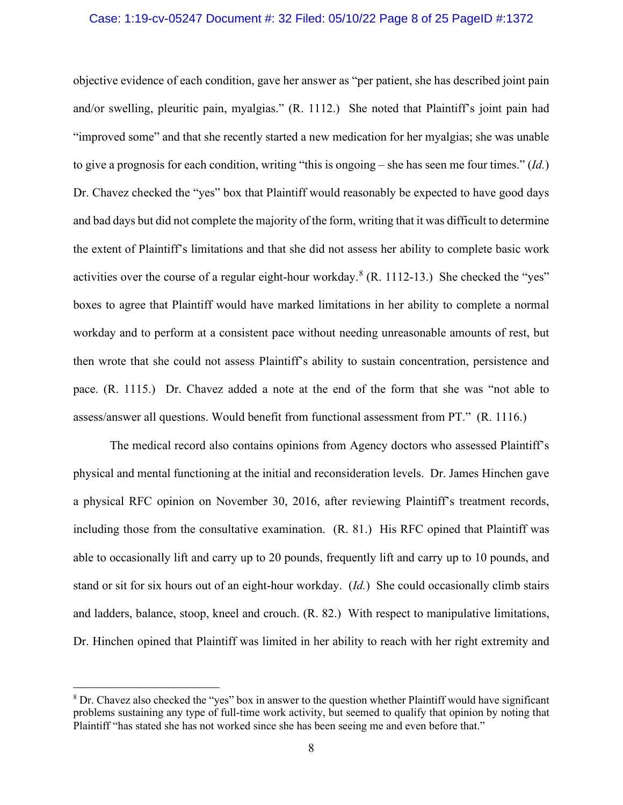#### Case: 1:19-cv-05247 Document #: 32 Filed: 05/10/22 Page 8 of 25 PageID #:1372

objective evidence of each condition, gave her answer as "per patient, she has described joint pain and/or swelling, pleuritic pain, myalgias." (R. 1112.) She noted that Plaintiff's joint pain had "improved some" and that she recently started a new medication for her myalgias; she was unable to give a prognosis for each condition, writing "this is ongoing – she has seen me four times." (*Id.*) Dr. Chavez checked the "yes" box that Plaintiff would reasonably be expected to have good days and bad days but did not complete the majority of the form, writing that it was difficult to determine the extent of Plaintiff's limitations and that she did not assess her ability to complete basic work activities over the course of a regular eight-hour workday. $8$  (R. 1112-13.) She checked the "yes" boxes to agree that Plaintiff would have marked limitations in her ability to complete a normal workday and to perform at a consistent pace without needing unreasonable amounts of rest, but then wrote that she could not assess Plaintiff's ability to sustain concentration, persistence and pace. (R. 1115.) Dr. Chavez added a note at the end of the form that she was "not able to assess/answer all questions. Would benefit from functional assessment from PT." (R. 1116.)

The medical record also contains opinions from Agency doctors who assessed Plaintiff's physical and mental functioning at the initial and reconsideration levels. Dr. James Hinchen gave a physical RFC opinion on November 30, 2016, after reviewing Plaintiff's treatment records, including those from the consultative examination. (R. 81.) His RFC opined that Plaintiff was able to occasionally lift and carry up to 20 pounds, frequently lift and carry up to 10 pounds, and stand or sit for six hours out of an eight-hour workday. (*Id.*) She could occasionally climb stairs and ladders, balance, stoop, kneel and crouch. (R. 82.) With respect to manipulative limitations, Dr. Hinchen opined that Plaintiff was limited in her ability to reach with her right extremity and

<span id="page-7-0"></span><sup>&</sup>lt;sup>8</sup> Dr. Chavez also checked the "yes" box in answer to the question whether Plaintiff would have significant problems sustaining any type of full-time work activity, but seemed to qualify that opinion by noting that Plaintiff "has stated she has not worked since she has been seeing me and even before that."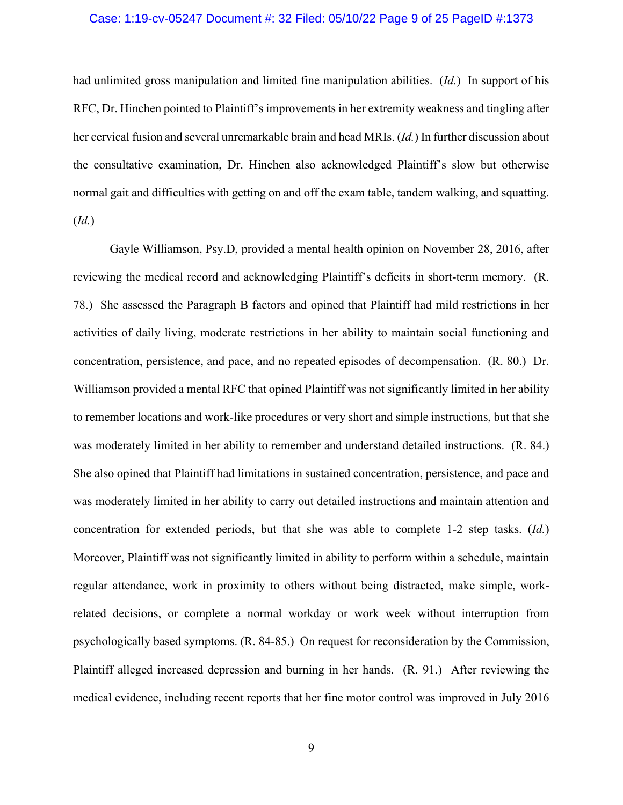#### Case: 1:19-cv-05247 Document #: 32 Filed: 05/10/22 Page 9 of 25 PageID #:1373

had unlimited gross manipulation and limited fine manipulation abilities. (*Id.*) In support of his RFC, Dr. Hinchen pointed to Plaintiff's improvements in her extremity weakness and tingling after her cervical fusion and several unremarkable brain and head MRIs. (*Id.*) In further discussion about the consultative examination, Dr. Hinchen also acknowledged Plaintiff's slow but otherwise normal gait and difficulties with getting on and off the exam table, tandem walking, and squatting. (*Id.*)

Gayle Williamson, Psy.D, provided a mental health opinion on November 28, 2016, after reviewing the medical record and acknowledging Plaintiff's deficits in short-term memory. (R. 78.) She assessed the Paragraph B factors and opined that Plaintiff had mild restrictions in her activities of daily living, moderate restrictions in her ability to maintain social functioning and concentration, persistence, and pace, and no repeated episodes of decompensation. (R. 80.) Dr. Williamson provided a mental RFC that opined Plaintiff was not significantly limited in her ability to remember locations and work-like procedures or very short and simple instructions, but that she was moderately limited in her ability to remember and understand detailed instructions. (R. 84.) She also opined that Plaintiff had limitations in sustained concentration, persistence, and pace and was moderately limited in her ability to carry out detailed instructions and maintain attention and concentration for extended periods, but that she was able to complete 1-2 step tasks. (*Id.*) Moreover, Plaintiff was not significantly limited in ability to perform within a schedule, maintain regular attendance, work in proximity to others without being distracted, make simple, workrelated decisions, or complete a normal workday or work week without interruption from psychologically based symptoms. (R. 84-85.) On request for reconsideration by the Commission, Plaintiff alleged increased depression and burning in her hands. (R. 91.) After reviewing the medical evidence, including recent reports that her fine motor control was improved in July 2016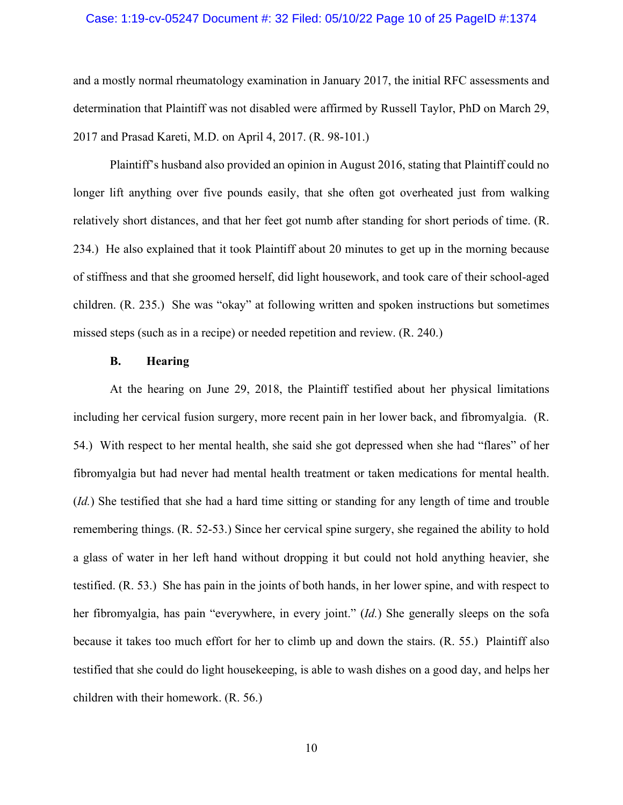#### Case: 1:19-cv-05247 Document #: 32 Filed: 05/10/22 Page 10 of 25 PageID #:1374

and a mostly normal rheumatology examination in January 2017, the initial RFC assessments and determination that Plaintiff was not disabled were affirmed by Russell Taylor, PhD on March 29, 2017 and Prasad Kareti, M.D. on April 4, 2017. (R. 98-101.)

 Plaintiff's husband also provided an opinion in August 2016, stating that Plaintiff could no longer lift anything over five pounds easily, that she often got overheated just from walking relatively short distances, and that her feet got numb after standing for short periods of time. (R. 234.) He also explained that it took Plaintiff about 20 minutes to get up in the morning because of stiffness and that she groomed herself, did light housework, and took care of their school-aged children. (R. 235.) She was "okay" at following written and spoken instructions but sometimes missed steps (such as in a recipe) or needed repetition and review. (R. 240.)

#### **B. Hearing**

At the hearing on June 29, 2018, the Plaintiff testified about her physical limitations including her cervical fusion surgery, more recent pain in her lower back, and fibromyalgia. (R. 54.) With respect to her mental health, she said she got depressed when she had "flares" of her fibromyalgia but had never had mental health treatment or taken medications for mental health. (*Id.*) She testified that she had a hard time sitting or standing for any length of time and trouble remembering things. (R. 52-53.) Since her cervical spine surgery, she regained the ability to hold a glass of water in her left hand without dropping it but could not hold anything heavier, she testified. (R. 53.) She has pain in the joints of both hands, in her lower spine, and with respect to her fibromyalgia, has pain "everywhere, in every joint." (*Id.*) She generally sleeps on the sofa because it takes too much effort for her to climb up and down the stairs. (R. 55.) Plaintiff also testified that she could do light housekeeping, is able to wash dishes on a good day, and helps her children with their homework. (R. 56.)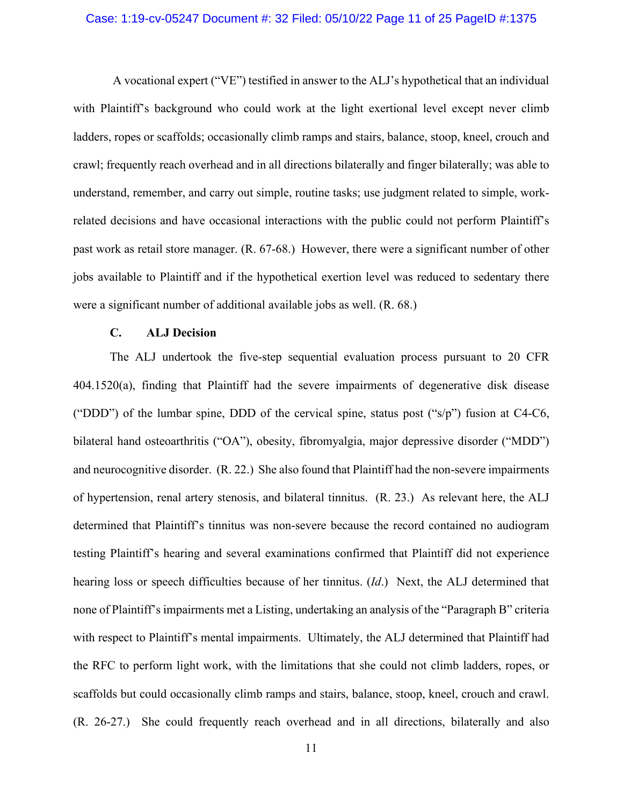#### Case: 1:19-cv-05247 Document #: 32 Filed: 05/10/22 Page 11 of 25 PageID #:1375

 A vocational expert ("VE") testified in answer to the ALJ's hypothetical that an individual with Plaintiff's background who could work at the light exertional level except never climb ladders, ropes or scaffolds; occasionally climb ramps and stairs, balance, stoop, kneel, crouch and crawl; frequently reach overhead and in all directions bilaterally and finger bilaterally; was able to understand, remember, and carry out simple, routine tasks; use judgment related to simple, workrelated decisions and have occasional interactions with the public could not perform Plaintiff's past work as retail store manager. (R. 67-68.) However, there were a significant number of other jobs available to Plaintiff and if the hypothetical exertion level was reduced to sedentary there were a significant number of additional available jobs as well. (R. 68.)

# **C. ALJ Decision**

The ALJ undertook the five-step sequential evaluation process pursuant to 20 CFR 404.1520(a), finding that Plaintiff had the severe impairments of degenerative disk disease ("DDD") of the lumbar spine, DDD of the cervical spine, status post ("s/p") fusion at C4-C6, bilateral hand osteoarthritis ("OA"), obesity, fibromyalgia, major depressive disorder ("MDD") and neurocognitive disorder. (R. 22.) She also found that Plaintiff had the non-severe impairments of hypertension, renal artery stenosis, and bilateral tinnitus. (R. 23.) As relevant here, the ALJ determined that Plaintiff's tinnitus was non-severe because the record contained no audiogram testing Plaintiff's hearing and several examinations confirmed that Plaintiff did not experience hearing loss or speech difficulties because of her tinnitus. (*Id*.) Next, the ALJ determined that none of Plaintiff's impairments met a Listing, undertaking an analysis of the "Paragraph B" criteria with respect to Plaintiff's mental impairments. Ultimately, the ALJ determined that Plaintiff had the RFC to perform light work, with the limitations that she could not climb ladders, ropes, or scaffolds but could occasionally climb ramps and stairs, balance, stoop, kneel, crouch and crawl. (R. 26-27.) She could frequently reach overhead and in all directions, bilaterally and also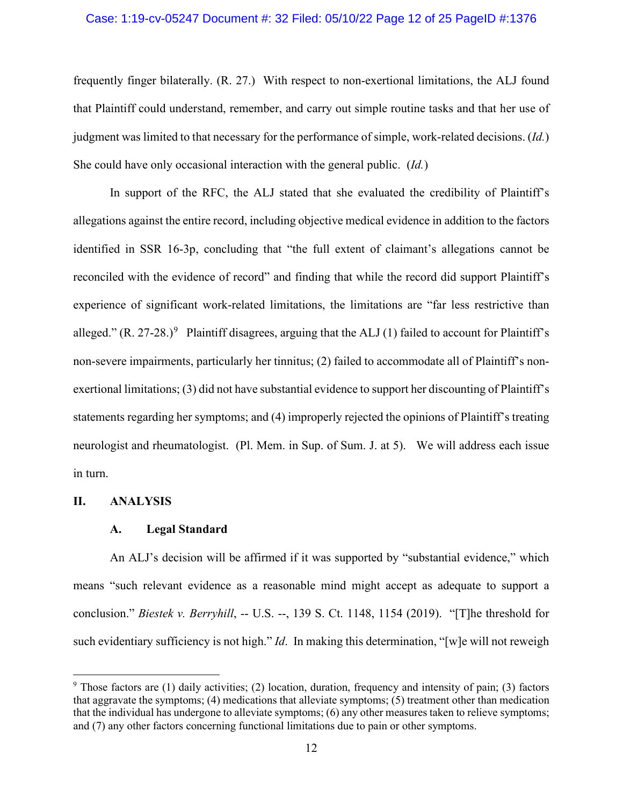#### Case: 1:19-cv-05247 Document #: 32 Filed: 05/10/22 Page 12 of 25 PageID #:1376

frequently finger bilaterally. (R. 27.) With respect to non-exertional limitations, the ALJ found that Plaintiff could understand, remember, and carry out simple routine tasks and that her use of judgment was limited to that necessary for the performance of simple, work-related decisions. (*Id.*) She could have only occasional interaction with the general public. (*Id.*)

In support of the RFC, the ALJ stated that she evaluated the credibility of Plaintiff's allegations against the entire record, including objective medical evidence in addition to the factors identified in SSR 16-3p, concluding that "the full extent of claimant's allegations cannot be reconciled with the evidence of record" and finding that while the record did support Plaintiff's experience of significant work-related limitations, the limitations are "far less restrictive than alleged."  $(R. 27-28.)^9$  $(R. 27-28.)^9$  Plaintiff disagrees, arguing that the ALJ (1) failed to account for Plaintiff's non-severe impairments, particularly her tinnitus; (2) failed to accommodate all of Plaintiff's nonexertional limitations; (3) did not have substantial evidence to support her discounting of Plaintiff's statements regarding her symptoms; and (4) improperly rejected the opinions of Plaintiff's treating neurologist and rheumatologist. (Pl. Mem. in Sup. of Sum. J. at 5). We will address each issue in turn.

#### **II. ANALYSIS**

#### **A. Legal Standard**

An ALJ's decision will be affirmed if it was supported by "substantial evidence," which means "such relevant evidence as a reasonable mind might accept as adequate to support a conclusion." *Biestek v. Berryhill*, -- U.S. --, 139 S. Ct. 1148, 1154 (2019). "[T]he threshold for such evidentiary sufficiency is not high." *Id*. In making this determination, "[w]e will not reweigh

<span id="page-11-0"></span><sup>9</sup> Those factors are (1) daily activities; (2) location, duration, frequency and intensity of pain; (3) factors that aggravate the symptoms; (4) medications that alleviate symptoms; (5) treatment other than medication that the individual has undergone to alleviate symptoms; (6) any other measures taken to relieve symptoms; and (7) any other factors concerning functional limitations due to pain or other symptoms.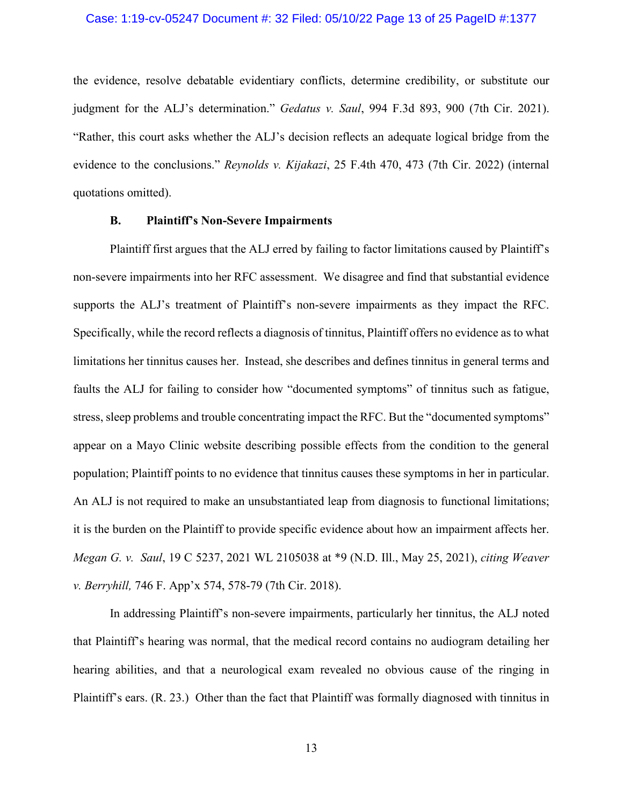#### Case: 1:19-cv-05247 Document #: 32 Filed: 05/10/22 Page 13 of 25 PageID #:1377

the evidence, resolve debatable evidentiary conflicts, determine credibility, or substitute our judgment for the ALJ's determination." *Gedatus v. Saul*, 994 F.3d 893, 900 (7th Cir. 2021). "Rather, this court asks whether the ALJ's decision reflects an adequate logical bridge from the evidence to the conclusions." *Reynolds v. Kijakazi*, 25 F.4th 470, 473 (7th Cir. 2022) (internal quotations omitted).

#### **B. Plaintiff's Non-Severe Impairments**

Plaintiff first argues that the ALJ erred by failing to factor limitations caused by Plaintiff's non-severe impairments into her RFC assessment. We disagree and find that substantial evidence supports the ALJ's treatment of Plaintiff's non-severe impairments as they impact the RFC. Specifically, while the record reflects a diagnosis of tinnitus, Plaintiff offers no evidence as to what limitations her tinnitus causes her. Instead, she describes and defines tinnitus in general terms and faults the ALJ for failing to consider how "documented symptoms" of tinnitus such as fatigue, stress, sleep problems and trouble concentrating impact the RFC. But the "documented symptoms" appear on a Mayo Clinic website describing possible effects from the condition to the general population; Plaintiff points to no evidence that tinnitus causes these symptoms in her in particular. An ALJ is not required to make an unsubstantiated leap from diagnosis to functional limitations; it is the burden on the Plaintiff to provide specific evidence about how an impairment affects her. *Megan G. v. Saul*, 19 C 5237, 2021 WL 2105038 at \*9 (N.D. Ill., May 25, 2021), *citing Weaver v. Berryhill,* 746 F. App'x 574, 578-79 (7th Cir. 2018).

In addressing Plaintiff's non-severe impairments, particularly her tinnitus, the ALJ noted that Plaintiff's hearing was normal, that the medical record contains no audiogram detailing her hearing abilities, and that a neurological exam revealed no obvious cause of the ringing in Plaintiff's ears. (R. 23.) Other than the fact that Plaintiff was formally diagnosed with tinnitus in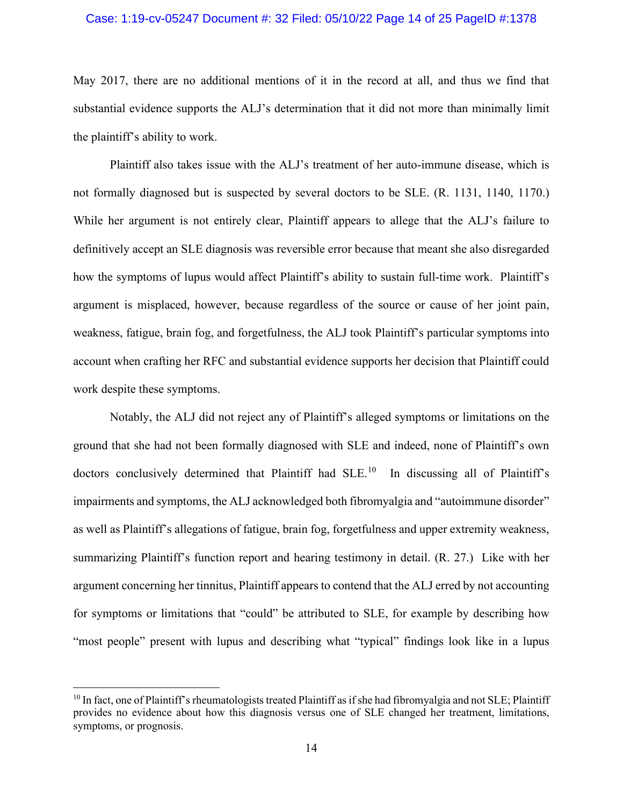#### Case: 1:19-cv-05247 Document #: 32 Filed: 05/10/22 Page 14 of 25 PageID #:1378

May 2017, there are no additional mentions of it in the record at all, and thus we find that substantial evidence supports the ALJ's determination that it did not more than minimally limit the plaintiff's ability to work.

Plaintiff also takes issue with the ALJ's treatment of her auto-immune disease, which is not formally diagnosed but is suspected by several doctors to be SLE. (R. 1131, 1140, 1170.) While her argument is not entirely clear, Plaintiff appears to allege that the ALJ's failure to definitively accept an SLE diagnosis was reversible error because that meant she also disregarded how the symptoms of lupus would affect Plaintiff's ability to sustain full-time work. Plaintiff's argument is misplaced, however, because regardless of the source or cause of her joint pain, weakness, fatigue, brain fog, and forgetfulness, the ALJ took Plaintiff's particular symptoms into account when crafting her RFC and substantial evidence supports her decision that Plaintiff could work despite these symptoms.

Notably, the ALJ did not reject any of Plaintiff's alleged symptoms or limitations on the ground that she had not been formally diagnosed with SLE and indeed, none of Plaintiff's own doctors conclusively determined that Plaintiff had SLE.<sup>[10](#page-13-0)</sup> In discussing all of Plaintiff's impairments and symptoms, the ALJ acknowledged both fibromyalgia and "autoimmune disorder" as well as Plaintiff's allegations of fatigue, brain fog, forgetfulness and upper extremity weakness, summarizing Plaintiff's function report and hearing testimony in detail. (R. 27.) Like with her argument concerning her tinnitus, Plaintiff appears to contend that the ALJ erred by not accounting for symptoms or limitations that "could" be attributed to SLE, for example by describing how "most people" present with lupus and describing what "typical" findings look like in a lupus

<span id="page-13-0"></span><sup>&</sup>lt;sup>10</sup> In fact, one of Plaintiff's rheumatologists treated Plaintiff as if she had fibromyalgia and not SLE; Plaintiff provides no evidence about how this diagnosis versus one of SLE changed her treatment, limitations, symptoms, or prognosis.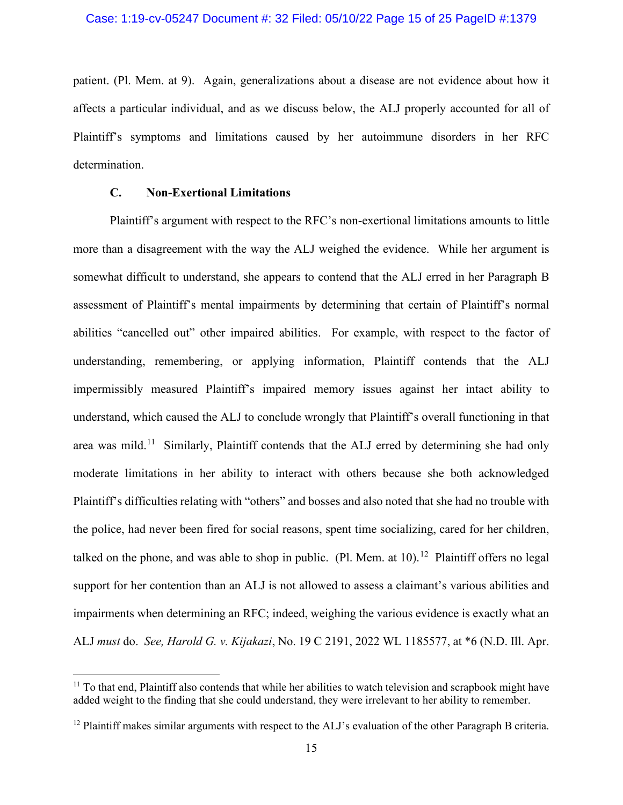#### Case: 1:19-cv-05247 Document #: 32 Filed: 05/10/22 Page 15 of 25 PageID #:1379

patient. (Pl. Mem. at 9). Again, generalizations about a disease are not evidence about how it affects a particular individual, and as we discuss below, the ALJ properly accounted for all of Plaintiff's symptoms and limitations caused by her autoimmune disorders in her RFC determination.

# **C. Non-Exertional Limitations**

Plaintiff's argument with respect to the RFC's non-exertional limitations amounts to little more than a disagreement with the way the ALJ weighed the evidence. While her argument is somewhat difficult to understand, she appears to contend that the ALJ erred in her Paragraph B assessment of Plaintiff's mental impairments by determining that certain of Plaintiff's normal abilities "cancelled out" other impaired abilities. For example, with respect to the factor of understanding, remembering, or applying information, Plaintiff contends that the ALJ impermissibly measured Plaintiff's impaired memory issues against her intact ability to understand, which caused the ALJ to conclude wrongly that Plaintiff's overall functioning in that area was mild.<sup>[11](#page-14-0)</sup> Similarly, Plaintiff contends that the ALJ erred by determining she had only moderate limitations in her ability to interact with others because she both acknowledged Plaintiff's difficulties relating with "others" and bosses and also noted that she had no trouble with the police, had never been fired for social reasons, spent time socializing, cared for her children, talked on the phone, and was able to shop in public. (Pl. Mem. at  $10$ ).<sup>[12](#page-14-1)</sup> Plaintiff offers no legal support for her contention than an ALJ is not allowed to assess a claimant's various abilities and impairments when determining an RFC; indeed, weighing the various evidence is exactly what an ALJ *must* do. *See, Harold G. v. Kijakazi*, No. 19 C 2191, 2022 WL 1185577, at \*6 (N.D. Ill. Apr.

<span id="page-14-0"></span><sup>&</sup>lt;sup>11</sup> To that end, Plaintiff also contends that while her abilities to watch television and scrapbook might have added weight to the finding that she could understand, they were irrelevant to her ability to remember.

<span id="page-14-1"></span><sup>&</sup>lt;sup>12</sup> Plaintiff makes similar arguments with respect to the ALJ's evaluation of the other Paragraph B criteria.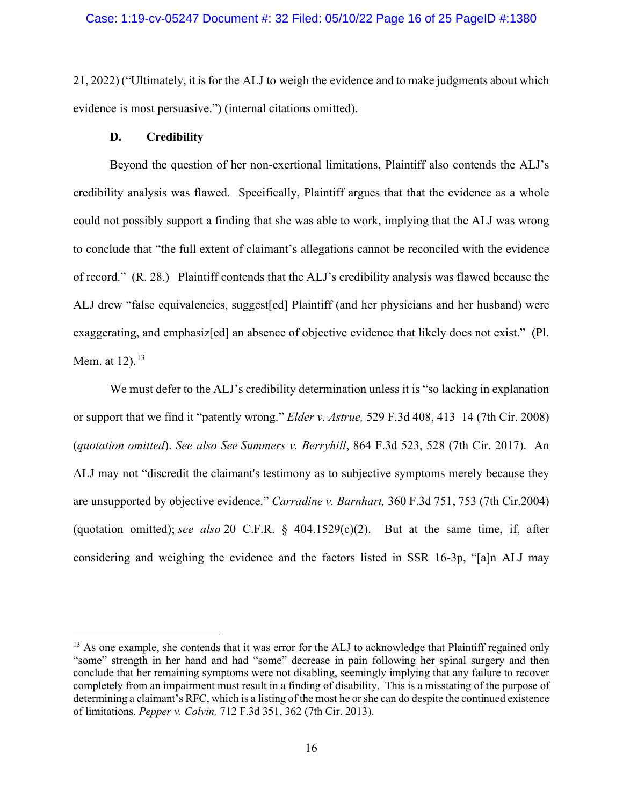21, 2022) ("Ultimately, it is for the ALJ to weigh the evidence and to make judgments about which evidence is most persuasive.") (internal citations omitted).

#### **D. Credibility**

Beyond the question of her non-exertional limitations, Plaintiff also contends the ALJ's credibility analysis was flawed. Specifically, Plaintiff argues that that the evidence as a whole could not possibly support a finding that she was able to work, implying that the ALJ was wrong to conclude that "the full extent of claimant's allegations cannot be reconciled with the evidence of record." (R. 28.) Plaintiff contends that the ALJ's credibility analysis was flawed because the ALJ drew "false equivalencies, suggest[ed] Plaintiff (and her physicians and her husband) were exaggerating, and emphasiz[ed] an absence of objective evidence that likely does not exist." (Pl. Mem. at  $12$ ).  $^{13}$  $^{13}$  $^{13}$ 

We must defer to the ALJ's credibility determination unless it is "so lacking in explanation" or support that we find it "patently wrong." *Elder v. Astrue,* 529 F.3d 408, 413–14 (7th Cir. 2008) (*quotation omitted*). *See also See Summers v. Berryhill*, 864 F.3d 523, 528 (7th Cir. 2017). An ALJ may not "discredit the claimant's testimony as to subjective symptoms merely because they are unsupported by objective evidence." *Carradine v. Barnhart,* 360 F.3d 751, 753 (7th Cir.2004) (quotation omitted); *see also* 20 C.F.R. § 404.1529(c)(2). But at the same time, if, after considering and weighing the evidence and the factors listed in SSR 16-3p, "[a]n ALJ may

<span id="page-15-0"></span><sup>&</sup>lt;sup>13</sup> As one example, she contends that it was error for the ALJ to acknowledge that Plaintiff regained only "some" strength in her hand and had "some" decrease in pain following her spinal surgery and then conclude that her remaining symptoms were not disabling, seemingly implying that any failure to recover completely from an impairment must result in a finding of disability. This is a misstating of the purpose of determining a claimant's RFC, which is a listing of the most he or she can do despite the continued existence of limitations. *Pepper v. Colvin,* 712 F.3d 351, 362 (7th Cir. 2013).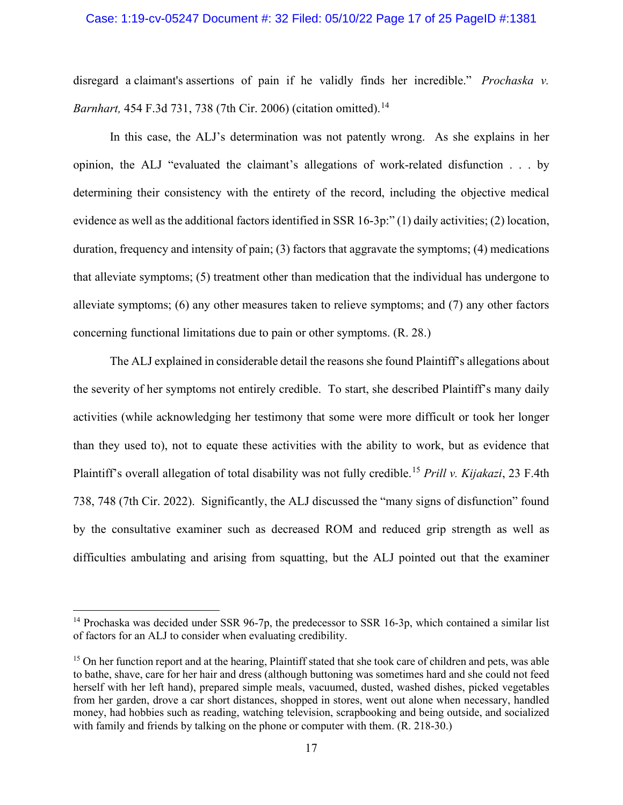#### Case: 1:19-cv-05247 Document #: 32 Filed: 05/10/22 Page 17 of 25 PageID #:1381

disregard a claimant's assertions of pain if he validly finds her incredible." *Prochaska v. Barnhart,* 454 F.3d 731, 738 (7th Cir. 2006) (citation omitted).<sup>[14](#page-16-0)</sup>

In this case, the ALJ's determination was not patently wrong. As she explains in her opinion, the ALJ "evaluated the claimant's allegations of work-related disfunction . . . by determining their consistency with the entirety of the record, including the objective medical evidence as well as the additional factors identified in SSR 16-3p:" (1) daily activities; (2) location, duration, frequency and intensity of pain; (3) factors that aggravate the symptoms; (4) medications that alleviate symptoms; (5) treatment other than medication that the individual has undergone to alleviate symptoms; (6) any other measures taken to relieve symptoms; and (7) any other factors concerning functional limitations due to pain or other symptoms. (R. 28.)

The ALJ explained in considerable detail the reasons she found Plaintiff's allegations about the severity of her symptoms not entirely credible. To start, she described Plaintiff's many daily activities (while acknowledging her testimony that some were more difficult or took her longer than they used to), not to equate these activities with the ability to work, but as evidence that Plaintiff's overall allegation of total disability was not fully credible.[15](#page-16-1) *Prill v. Kijakazi*, 23 F.4th 738, 748 (7th Cir. 2022). Significantly, the ALJ discussed the "many signs of disfunction" found by the consultative examiner such as decreased ROM and reduced grip strength as well as difficulties ambulating and arising from squatting, but the ALJ pointed out that the examiner

<span id="page-16-0"></span><sup>&</sup>lt;sup>14</sup> Prochaska was decided under SSR 96-7p, the predecessor to SSR 16-3p, which contained a similar list of factors for an ALJ to consider when evaluating credibility.

<span id="page-16-1"></span><sup>&</sup>lt;sup>15</sup> On her function report and at the hearing, Plaintiff stated that she took care of children and pets, was able to bathe, shave, care for her hair and dress (although buttoning was sometimes hard and she could not feed herself with her left hand), prepared simple meals, vacuumed, dusted, washed dishes, picked vegetables from her garden, drove a car short distances, shopped in stores, went out alone when necessary, handled money, had hobbies such as reading, watching television, scrapbooking and being outside, and socialized with family and friends by talking on the phone or computer with them. (R. 218-30.)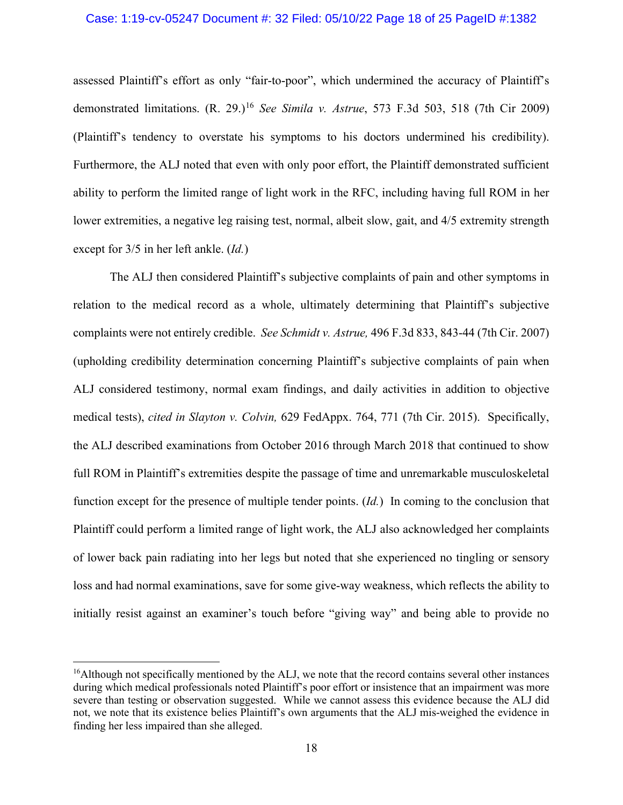#### Case: 1:19-cv-05247 Document #: 32 Filed: 05/10/22 Page 18 of 25 PageID #:1382

assessed Plaintiff's effort as only "fair-to-poor", which undermined the accuracy of Plaintiff's demonstrated limitations.  $(R. 29.)^{16}$  $(R. 29.)^{16}$  $(R. 29.)^{16}$  *See Simila v. Astrue*, 573 F.3d 503, 518 (7th Cir 2009) (Plaintiff's tendency to overstate his symptoms to his doctors undermined his credibility). Furthermore, the ALJ noted that even with only poor effort, the Plaintiff demonstrated sufficient ability to perform the limited range of light work in the RFC, including having full ROM in her lower extremities, a negative leg raising test, normal, albeit slow, gait, and 4/5 extremity strength except for 3/5 in her left ankle. (*Id.*)

The ALJ then considered Plaintiff's subjective complaints of pain and other symptoms in relation to the medical record as a whole, ultimately determining that Plaintiff's subjective complaints were not entirely credible. *See Schmidt v. Astrue,* 496 F.3d 833, 843-44 (7th Cir. 2007) (upholding credibility determination concerning Plaintiff's subjective complaints of pain when ALJ considered testimony, normal exam findings, and daily activities in addition to objective medical tests), *cited in Slayton v. Colvin,* 629 FedAppx. 764, 771 (7th Cir. 2015). Specifically, the ALJ described examinations from October 2016 through March 2018 that continued to show full ROM in Plaintiff's extremities despite the passage of time and unremarkable musculoskeletal function except for the presence of multiple tender points. (*Id.*) In coming to the conclusion that Plaintiff could perform a limited range of light work, the ALJ also acknowledged her complaints of lower back pain radiating into her legs but noted that she experienced no tingling or sensory loss and had normal examinations, save for some give-way weakness, which reflects the ability to initially resist against an examiner's touch before "giving way" and being able to provide no

<span id="page-17-0"></span> $<sup>16</sup>$ Although not specifically mentioned by the ALJ, we note that the record contains several other instances</sup> during which medical professionals noted Plaintiff's poor effort or insistence that an impairment was more severe than testing or observation suggested. While we cannot assess this evidence because the ALJ did not, we note that its existence belies Plaintiff's own arguments that the ALJ mis-weighed the evidence in finding her less impaired than she alleged.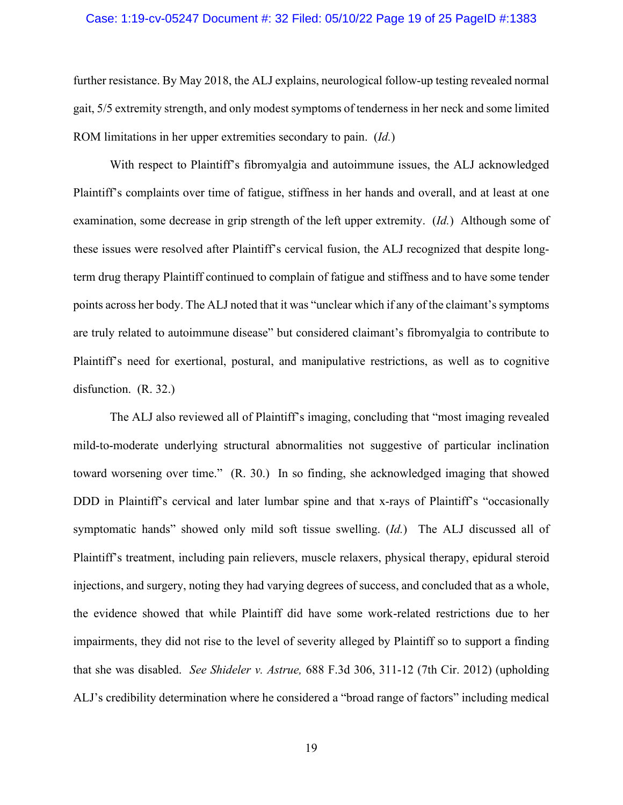#### Case: 1:19-cv-05247 Document #: 32 Filed: 05/10/22 Page 19 of 25 PageID #:1383

further resistance. By May 2018, the ALJ explains, neurological follow-up testing revealed normal gait, 5/5 extremity strength, and only modest symptoms of tenderness in her neck and some limited ROM limitations in her upper extremities secondary to pain. (*Id.*)

With respect to Plaintiff's fibromyalgia and autoimmune issues, the ALJ acknowledged Plaintiff's complaints over time of fatigue, stiffness in her hands and overall, and at least at one examination, some decrease in grip strength of the left upper extremity. (*Id.*) Although some of these issues were resolved after Plaintiff's cervical fusion, the ALJ recognized that despite longterm drug therapy Plaintiff continued to complain of fatigue and stiffness and to have some tender points across her body. The ALJ noted that it was "unclear which if any of the claimant's symptoms are truly related to autoimmune disease" but considered claimant's fibromyalgia to contribute to Plaintiff's need for exertional, postural, and manipulative restrictions, as well as to cognitive disfunction. (R. 32.)

The ALJ also reviewed all of Plaintiff's imaging, concluding that "most imaging revealed mild-to-moderate underlying structural abnormalities not suggestive of particular inclination toward worsening over time." (R. 30.) In so finding, she acknowledged imaging that showed DDD in Plaintiff's cervical and later lumbar spine and that x-rays of Plaintiff's "occasionally symptomatic hands" showed only mild soft tissue swelling. (*Id.*) The ALJ discussed all of Plaintiff's treatment, including pain relievers, muscle relaxers, physical therapy, epidural steroid injections, and surgery, noting they had varying degrees of success, and concluded that as a whole, the evidence showed that while Plaintiff did have some work-related restrictions due to her impairments, they did not rise to the level of severity alleged by Plaintiff so to support a finding that she was disabled. *See Shideler v. Astrue,* 688 F.3d 306, 311-12 (7th Cir. 2012) (upholding ALJ's credibility determination where he considered a "broad range of factors" including medical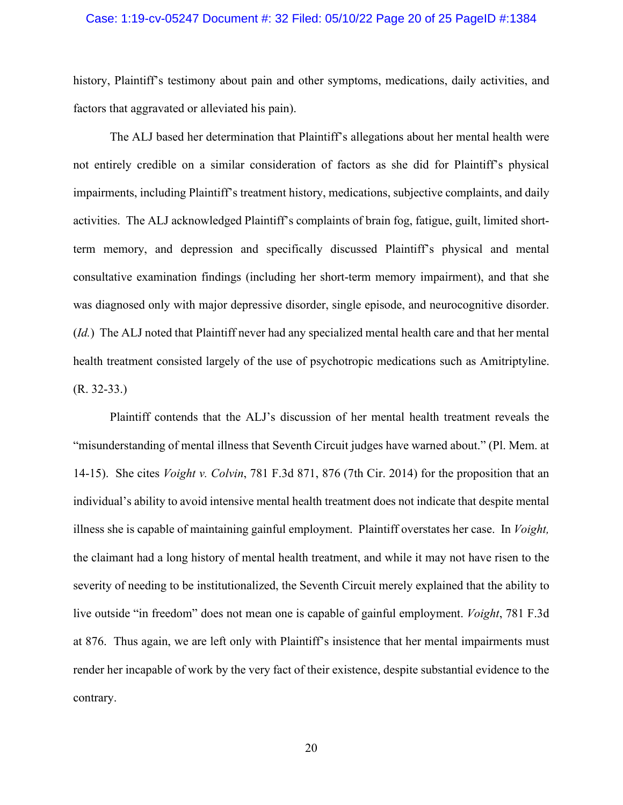#### Case: 1:19-cv-05247 Document #: 32 Filed: 05/10/22 Page 20 of 25 PageID #:1384

history, Plaintiff's testimony about pain and other symptoms, medications, daily activities, and factors that aggravated or alleviated his pain).

The ALJ based her determination that Plaintiff's allegations about her mental health were not entirely credible on a similar consideration of factors as she did for Plaintiff's physical impairments, including Plaintiff's treatment history, medications, subjective complaints, and daily activities. The ALJ acknowledged Plaintiff's complaints of brain fog, fatigue, guilt, limited shortterm memory, and depression and specifically discussed Plaintiff's physical and mental consultative examination findings (including her short-term memory impairment), and that she was diagnosed only with major depressive disorder, single episode, and neurocognitive disorder. (*Id.*) The ALJ noted that Plaintiff never had any specialized mental health care and that her mental health treatment consisted largely of the use of psychotropic medications such as Amitriptyline.  $(R. 32-33.)$ 

Plaintiff contends that the ALJ's discussion of her mental health treatment reveals the "misunderstanding of mental illness that Seventh Circuit judges have warned about." (Pl. Mem. at 14-15). She cites *Voight v. Colvin*, 781 F.3d 871, 876 (7th Cir. 2014) for the proposition that an individual's ability to avoid intensive mental health treatment does not indicate that despite mental illness she is capable of maintaining gainful employment. Plaintiff overstates her case. In *Voight,*  the claimant had a long history of mental health treatment, and while it may not have risen to the severity of needing to be institutionalized, the Seventh Circuit merely explained that the ability to live outside "in freedom" does not mean one is capable of gainful employment. *Voight*, 781 F.3d at 876. Thus again, we are left only with Plaintiff's insistence that her mental impairments must render her incapable of work by the very fact of their existence, despite substantial evidence to the contrary.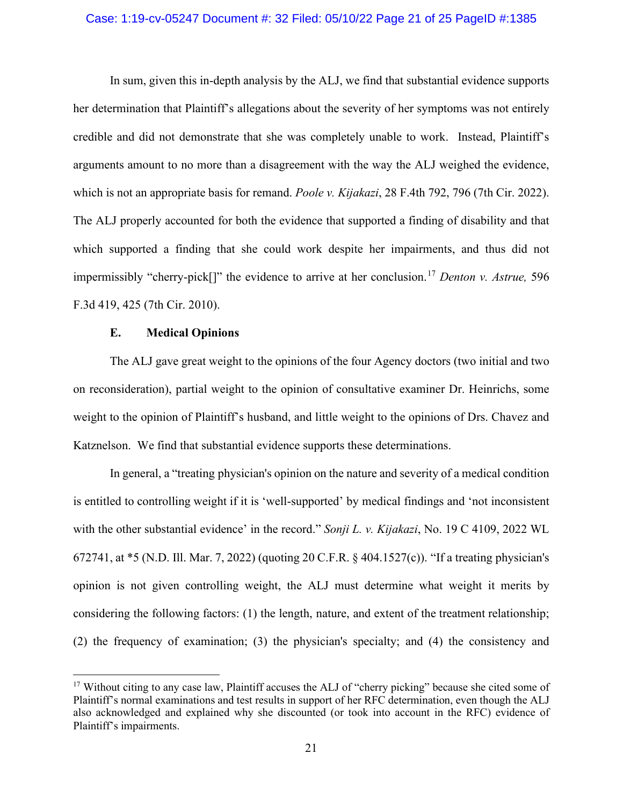#### Case: 1:19-cv-05247 Document #: 32 Filed: 05/10/22 Page 21 of 25 PageID #:1385

In sum, given this in-depth analysis by the ALJ, we find that substantial evidence supports her determination that Plaintiff's allegations about the severity of her symptoms was not entirely credible and did not demonstrate that she was completely unable to work. Instead, Plaintiff's arguments amount to no more than a disagreement with the way the ALJ weighed the evidence, which is not an appropriate basis for remand. *Poole v. Kijakazi*, 28 F.4th 792, 796 (7th Cir. 2022). The ALJ properly accounted for both the evidence that supported a finding of disability and that which supported a finding that she could work despite her impairments, and thus did not impermissibly "cherry-pick[]" the evidence to arrive at her conclusion.[17](#page-20-0) *Denton v. Astrue,* 596 F.3d 419, 425 (7th Cir. 2010).

## **E. Medical Opinions**

The ALJ gave great weight to the opinions of the four Agency doctors (two initial and two on reconsideration), partial weight to the opinion of consultative examiner Dr. Heinrichs, some weight to the opinion of Plaintiff's husband, and little weight to the opinions of Drs. Chavez and Katznelson. We find that substantial evidence supports these determinations.

In general, a "treating physician's opinion on the nature and severity of a medical condition is entitled to controlling weight if it is 'well-supported' by medical findings and 'not inconsistent with the other substantial evidence' in the record." *Sonji L. v. Kijakazi*, No. 19 C 4109, 2022 WL 672741, at \*5 (N.D. Ill. Mar. 7, 2022) (quoting 20 C.F.R. § 404.1527(c)). "If a treating physician's opinion is not given controlling weight, the ALJ must determine what weight it merits by considering the following factors: (1) the length, nature, and extent of the treatment relationship; (2) the frequency of examination; (3) the physician's specialty; and (4) the consistency and

<span id="page-20-0"></span><sup>&</sup>lt;sup>17</sup> Without citing to any case law, Plaintiff accuses the ALJ of "cherry picking" because she cited some of Plaintiff's normal examinations and test results in support of her RFC determination, even though the ALJ also acknowledged and explained why she discounted (or took into account in the RFC) evidence of Plaintiff's impairments.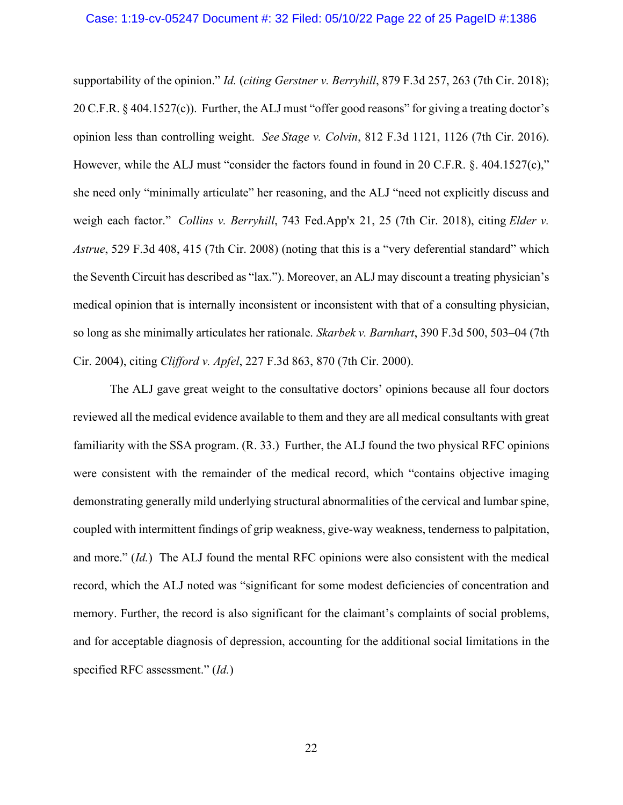#### Case: 1:19-cv-05247 Document #: 32 Filed: 05/10/22 Page 22 of 25 PageID #:1386

supportability of the opinion." *Id.* (*citing Gerstner v. Berryhill*, 879 F.3d 257, 263 (7th Cir. 2018); 20 C.F.R. § 404.1527(c)). Further, the ALJ must "offer good reasons" for giving a treating doctor's opinion less than controlling weight. *See Stage v. Colvin*, 812 F.3d 1121, 1126 (7th Cir. 2016). However, while the ALJ must "consider the factors found in found in 20 C.F.R. §. 404.1527(c)," she need only "minimally articulate" her reasoning, and the ALJ "need not explicitly discuss and weigh each factor." *Collins v. Berryhill*, 743 Fed.App'x 21, 25 (7th Cir. 2018), citing *Elder v. Astrue*, 529 F.3d 408, 415 (7th Cir. 2008) (noting that this is a "very deferential standard" which the Seventh Circuit has described as "lax."). Moreover, an ALJ may discount a treating physician's medical opinion that is internally inconsistent or inconsistent with that of a consulting physician, so long as she minimally articulates her rationale. *Skarbek v. Barnhart*, 390 F.3d 500, 503–04 (7th Cir. 2004), citing *Clifford v. Apfel*, 227 F.3d 863, 870 (7th Cir. 2000).

The ALJ gave great weight to the consultative doctors' opinions because all four doctors reviewed all the medical evidence available to them and they are all medical consultants with great familiarity with the SSA program. (R. 33.) Further, the ALJ found the two physical RFC opinions were consistent with the remainder of the medical record, which "contains objective imaging demonstrating generally mild underlying structural abnormalities of the cervical and lumbar spine, coupled with intermittent findings of grip weakness, give-way weakness, tenderness to palpitation, and more." (*Id.*) The ALJ found the mental RFC opinions were also consistent with the medical record, which the ALJ noted was "significant for some modest deficiencies of concentration and memory. Further, the record is also significant for the claimant's complaints of social problems, and for acceptable diagnosis of depression, accounting for the additional social limitations in the specified RFC assessment." (*Id.*)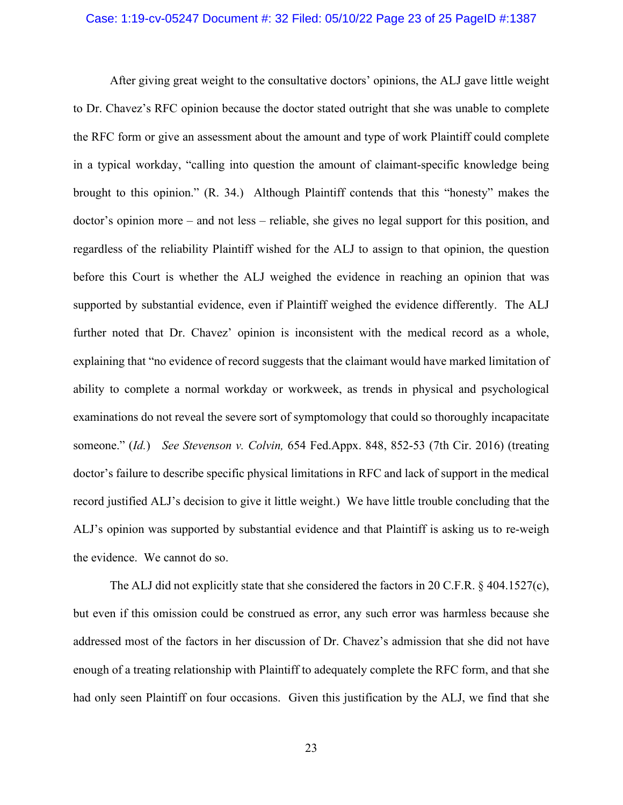#### Case: 1:19-cv-05247 Document #: 32 Filed: 05/10/22 Page 23 of 25 PageID #:1387

After giving great weight to the consultative doctors' opinions, the ALJ gave little weight to Dr. Chavez's RFC opinion because the doctor stated outright that she was unable to complete the RFC form or give an assessment about the amount and type of work Plaintiff could complete in a typical workday, "calling into question the amount of claimant-specific knowledge being brought to this opinion." (R. 34.) Although Plaintiff contends that this "honesty" makes the doctor's opinion more – and not less – reliable, she gives no legal support for this position, and regardless of the reliability Plaintiff wished for the ALJ to assign to that opinion, the question before this Court is whether the ALJ weighed the evidence in reaching an opinion that was supported by substantial evidence, even if Plaintiff weighed the evidence differently. The ALJ further noted that Dr. Chavez' opinion is inconsistent with the medical record as a whole, explaining that "no evidence of record suggests that the claimant would have marked limitation of ability to complete a normal workday or workweek, as trends in physical and psychological examinations do not reveal the severe sort of symptomology that could so thoroughly incapacitate someone." (*Id.*) *See Stevenson v. Colvin,* 654 Fed.Appx. 848, 852-53 (7th Cir. 2016) (treating doctor's failure to describe specific physical limitations in RFC and lack of support in the medical record justified ALJ's decision to give it little weight.) We have little trouble concluding that the ALJ's opinion was supported by substantial evidence and that Plaintiff is asking us to re-weigh the evidence. We cannot do so.

The ALJ did not explicitly state that she considered the factors in 20 C.F.R. § 404.1527(c), but even if this omission could be construed as error, any such error was harmless because she addressed most of the factors in her discussion of Dr. Chavez's admission that she did not have enough of a treating relationship with Plaintiff to adequately complete the RFC form, and that she had only seen Plaintiff on four occasions. Given this justification by the ALJ, we find that she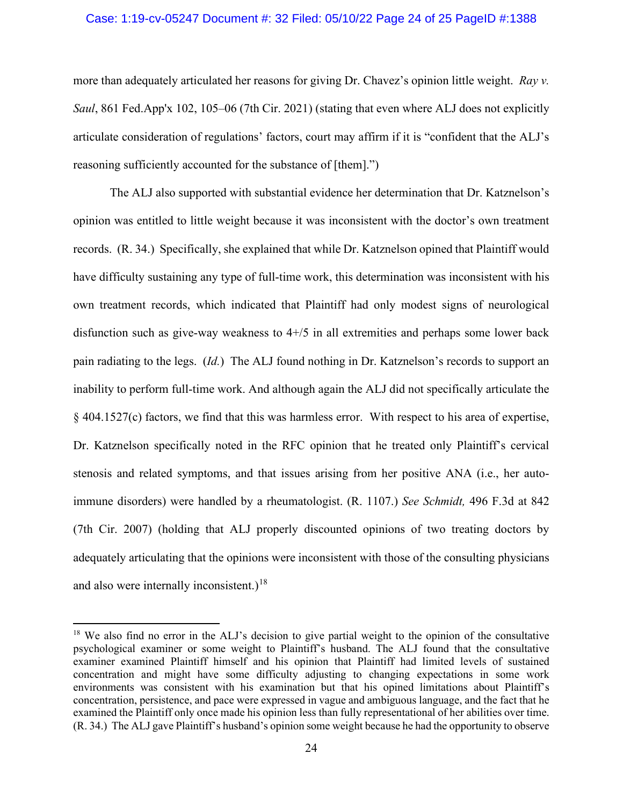#### Case: 1:19-cv-05247 Document #: 32 Filed: 05/10/22 Page 24 of 25 PageID #:1388

more than adequately articulated her reasons for giving Dr. Chavez's opinion little weight. *Ray v. Saul*, 861 Fed.App'x 102, 105–06 (7th Cir. 2021) (stating that even where ALJ does not explicitly articulate consideration of regulations' factors, court may affirm if it is "confident that the ALJ's reasoning sufficiently accounted for the substance of [them].")

The ALJ also supported with substantial evidence her determination that Dr. Katznelson's opinion was entitled to little weight because it was inconsistent with the doctor's own treatment records. (R. 34.) Specifically, she explained that while Dr. Katznelson opined that Plaintiff would have difficulty sustaining any type of full-time work, this determination was inconsistent with his own treatment records, which indicated that Plaintiff had only modest signs of neurological disfunction such as give-way weakness to  $4+/5$  in all extremities and perhaps some lower back pain radiating to the legs. (*Id.*) The ALJ found nothing in Dr. Katznelson's records to support an inability to perform full-time work. And although again the ALJ did not specifically articulate the § 404.1527(c) factors, we find that this was harmless error. With respect to his area of expertise, Dr. Katznelson specifically noted in the RFC opinion that he treated only Plaintiff's cervical stenosis and related symptoms, and that issues arising from her positive ANA (i.e., her autoimmune disorders) were handled by a rheumatologist. (R. 1107.) *See Schmidt,* 496 F.3d at 842 (7th Cir. 2007) (holding that ALJ properly discounted opinions of two treating doctors by adequately articulating that the opinions were inconsistent with those of the consulting physicians and also were internally inconsistent.)<sup>[18](#page-23-0)</sup>

<span id="page-23-0"></span><sup>&</sup>lt;sup>18</sup> We also find no error in the ALJ's decision to give partial weight to the opinion of the consultative psychological examiner or some weight to Plaintiff's husband. The ALJ found that the consultative examiner examined Plaintiff himself and his opinion that Plaintiff had limited levels of sustained concentration and might have some difficulty adjusting to changing expectations in some work environments was consistent with his examination but that his opined limitations about Plaintiff's concentration, persistence, and pace were expressed in vague and ambiguous language, and the fact that he examined the Plaintiff only once made his opinion less than fully representational of her abilities over time. (R. 34.) The ALJ gave Plaintiff's husband's opinion some weight because he had the opportunity to observe